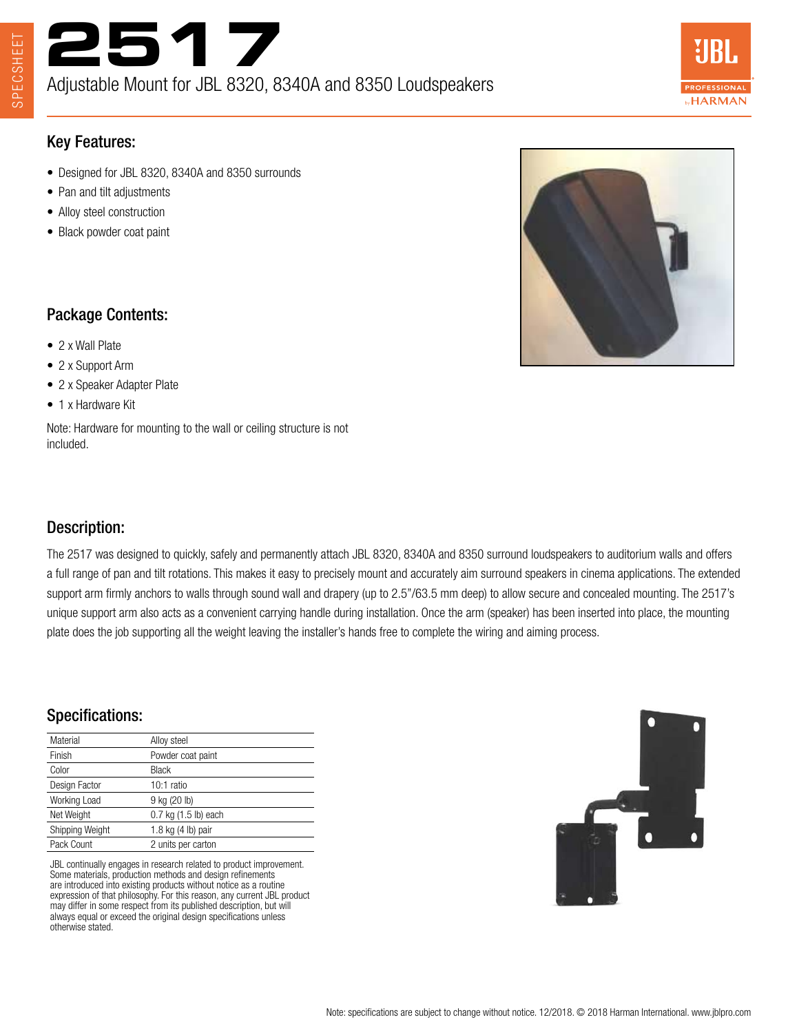



## Key Features:

- Designed for JBL 8320, 8340A and 8350 surrounds
- Pan and tilt adjustments
- Alloy steel construction
- Black powder coat paint



#### Package Contents:

- 2 x Wall Plate
- 2 x Support Arm
- 2 x Speaker Adapter Plate
- 1 x Hardware Kit

Note: Hardware for mounting to the wall or ceiling structure is not included.

## Description:

The 2517 was designed to quickly, safely and permanently attach JBL 8320, 8340A and 8350 surround loudspeakers to auditorium walls and offers a full range of pan and tilt rotations. This makes it easy to precisely mount and accurately aim surround speakers in cinema applications. The extended support arm firmly anchors to walls through sound wall and drapery (up to 2.5"/63.5 mm deep) to allow secure and concealed mounting. The 2517's unique support arm also acts as a convenient carrying handle during installation. Once the arm (speaker) has been inserted into place, the mounting plate does the job supporting all the weight leaving the installer's hands free to complete the wiring and aiming process.

## Specifications:

| Material        | Alloy steel              |
|-----------------|--------------------------|
| Finish          | Powder coat paint        |
| Color           | <b>Black</b>             |
| Design Factor   | 10:1 ratio               |
| Working Load    | 9 kg (20 lb)             |
| Net Weight      | $0.7$ kg $(1.5$ lb) each |
| Shipping Weight | 1.8 kg (4 lb) pair       |
| Pack Count      | 2 units per carton       |
|                 |                          |

JBL continually engages in research related to product improvement. Some materials, production methods and design refinements are introduced into existing products without notice as a routine expression of that philosophy. For this reason, any current JBL product may differ in some respect from its published description, but will always equal or exceed the original design specifications unless otherwise stated.